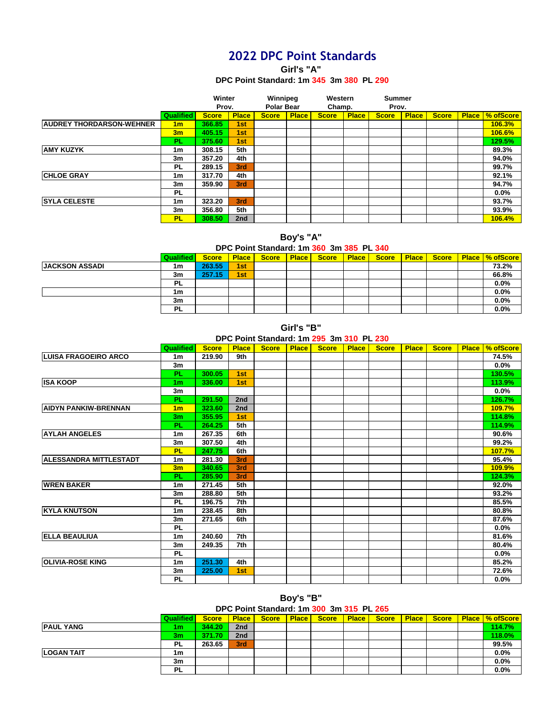# **2022 DPC Point Standards**

**Girl's "A"** 

#### **DPC Point Standard: 1m 345 3m 380 PL 290**

|                                 |                  | Winter       |              | Winnipeg          |              | Western      |              | <b>Summer</b> |              |              |              |                  |
|---------------------------------|------------------|--------------|--------------|-------------------|--------------|--------------|--------------|---------------|--------------|--------------|--------------|------------------|
|                                 |                  | Prov.        |              | <b>Polar Bear</b> |              | Champ.       |              | Prov.         |              |              |              |                  |
|                                 | <b>Qualified</b> | <b>Score</b> | <b>Place</b> | <b>Score</b>      | <b>Place</b> | <b>Score</b> | <b>Place</b> | <b>Score</b>  | <b>Place</b> | <b>Score</b> | <b>Place</b> | <b>% ofScore</b> |
| <b>AUDREY THORDARSON-WEHNER</b> | 1 <sub>m</sub>   | 366.85       | 1st          |                   |              |              |              |               |              |              |              | 106.3%           |
|                                 | 3m               | 405.15       | 1st          |                   |              |              |              |               |              |              |              | <b>106.6%</b>    |
|                                 | <b>PL</b>        | 375.60       | 1st          |                   |              |              |              |               |              |              |              | 129.5%           |
| <b>AMY KUZYK</b>                | 1m               | 308.15       | 5th          |                   |              |              |              |               |              |              |              | 89.3%            |
|                                 | 3m               | 357.20       | 4th          |                   |              |              |              |               |              |              |              | 94.0%            |
|                                 | PL               | 289.15       | 3rd          |                   |              |              |              |               |              |              |              | 99.7%            |
| <b>CHLOE GRAY</b>               | 1m               | 317.70       | 4th          |                   |              |              |              |               |              |              |              | 92.1%            |
|                                 | 3m               | 359.90       | 3rd          |                   |              |              |              |               |              |              |              | 94.7%            |
|                                 | <b>PL</b>        |              |              |                   |              |              |              |               |              |              |              | 0.0%             |
| <b>SYLA CELESTE</b>             | 1m               | 323.20       | 3rd          |                   |              |              |              |               |              |              |              | 93.7%            |
|                                 | 3m               | 356.80       | 5th          |                   |              |              |              |               |              |              |              | 93.9%            |
|                                 | <b>PL</b>        | 308.50       | 2nd          |                   |              |              |              |               |              |              |              | 106.4%           |

**Boy's "A"** 

### **DPC Point Standard: 1m 360 3m 385 PL 340**

|                       | Qualified | <b>Score</b> | <b>Place</b> | <b>Score</b> | <b>Place</b> | <b>Score</b> | <b>Place</b> | <b>Score</b> | <b>Place</b> | <b>Score</b> | <b>Place   % ofScore  </b> |
|-----------------------|-----------|--------------|--------------|--------------|--------------|--------------|--------------|--------------|--------------|--------------|----------------------------|
| <b>JACKSON ASSADI</b> | 1m        | 263.55       | 1st          |              |              |              |              |              |              |              | 73.2%                      |
|                       | 3m        | 257.15       | 1st          |              |              |              |              |              |              |              | 66.8%                      |
|                       | <b>PL</b> |              |              |              |              |              |              |              |              |              | 0.0%                       |
|                       | 1m        |              |              |              |              |              |              |              |              |              | 0.0%                       |
|                       | 3m        |              |              |              |              |              |              |              |              |              | 0.0%                       |
|                       | <b>PL</b> |              |              |              |              |              |              |              |              |              | 0.0%                       |

**Girl's "B"** 

### **DPC Point Standard: 1m 295 3m 310 PL 230**

|                               | <b>Qualified</b> | <b>Score</b> | <b>Place</b> | <b>Score</b> | <b>Place</b> | <b>Score</b> | <b>Place</b> | <b>Score</b> | <b>Place</b> | <b>Score</b> | <b>Place</b> | % ofScore     |
|-------------------------------|------------------|--------------|--------------|--------------|--------------|--------------|--------------|--------------|--------------|--------------|--------------|---------------|
| <b>LUISA FRAGOEIRO ARCO</b>   | 1 <sub>m</sub>   | 219.90       | 9th          |              |              |              |              |              |              |              |              | 74.5%         |
|                               | 3m               |              |              |              |              |              |              |              |              |              |              | 0.0%          |
|                               | PL               | 300.05       | 1st          |              |              |              |              |              |              |              |              | 130.5%        |
| <b>ISA KOOP</b>               | 1 <sub>m</sub>   | 336.00       | 1st          |              |              |              |              |              |              |              |              | 113.9%        |
|                               | 3 <sub>m</sub>   |              |              |              |              |              |              |              |              |              |              | 0.0%          |
|                               | PL               | 291.50       | 2nd          |              |              |              |              |              |              |              |              | 126.7%        |
| <b>AIDYN PANKIW-BRENNAN</b>   | 1 <sub>m</sub>   | 323.60       | 2nd          |              |              |              |              |              |              |              |              | 109.7%        |
|                               | 3 <sub>m</sub>   | 355.95       | 1st          |              |              |              |              |              |              |              |              | 114.8%        |
|                               | PL               | 264.25       | 5th          |              |              |              |              |              |              |              |              | 114.9%        |
| <b>AYLAH ANGELES</b>          | 1 <sub>m</sub>   | 267.35       | 6th          |              |              |              |              |              |              |              |              | 90.6%         |
|                               | 3 <sub>m</sub>   | 307.50       | 4th          |              |              |              |              |              |              |              |              | 99.2%         |
|                               | <b>PL</b>        | 247.75       | 6th          |              |              |              |              |              |              |              |              | 107.7%        |
| <b>ALESSANDRA MITTLESTADT</b> | 1 <sub>m</sub>   | 281.30       | 3rd          |              |              |              |              |              |              |              |              | 95.4%         |
|                               | 3m               | 340.65       | 3rd          |              |              |              |              |              |              |              |              | <b>109.9%</b> |
|                               | <b>PL</b>        | 285.90       | 3rd          |              |              |              |              |              |              |              |              | 124.3%        |
| <b>WREN BAKER</b>             | 1 <sub>m</sub>   | 271.45       | 5th          |              |              |              |              |              |              |              |              | 92.0%         |
|                               | 3 <sub>m</sub>   | 288.80       | 5th          |              |              |              |              |              |              |              |              | 93.2%         |
|                               | <b>PL</b>        | 196.75       | 7th          |              |              |              |              |              |              |              |              | 85.5%         |
| <b>KYLA KNUTSON</b>           | 1 <sub>m</sub>   | 238.45       | 8th          |              |              |              |              |              |              |              |              | 80.8%         |
|                               | 3 <sub>m</sub>   | 271.65       | 6th          |              |              |              |              |              |              |              |              | 87.6%         |
|                               | <b>PL</b>        |              |              |              |              |              |              |              |              |              |              | 0.0%          |
| <b>ELLA BEAULIUA</b>          | 1 <sub>m</sub>   | 240.60       | 7th          |              |              |              |              |              |              |              |              | 81.6%         |
|                               | 3m               | 249.35       | 7th          |              |              |              |              |              |              |              |              | 80.4%         |
|                               | <b>PL</b>        |              |              |              |              |              |              |              |              |              |              | 0.0%          |
| <b>OLIVIA-ROSE KING</b>       | 1 <sub>m</sub>   | 251.30       | 4th          |              |              |              |              |              |              |              |              | 85.2%         |
|                               | 3m               | 225.00       | 1st          |              |              |              |              |              |              |              |              | 72.6%         |
|                               | <b>PL</b>        |              |              |              |              |              |              |              |              |              |              | 0.0%          |

**Boy's "B"** 

**DPC Point Standard: 1m 300 3m 315 PL 265**

|                   | <b>Qualified</b> | <b>Score</b> | <b>Place</b> | <b>Score</b> | <b>Place</b> | <b>Score</b> | Place Score | <b>Place</b> | <b>Score</b> | Place   % ofScore |
|-------------------|------------------|--------------|--------------|--------------|--------------|--------------|-------------|--------------|--------------|-------------------|
| <b>PAUL YANG</b>  | 1m               | 344.20       | 2nd          |              |              |              |             |              |              | 114.7%            |
|                   | 3m               | 371.70       | 2nd          |              |              |              |             |              |              | 118.0%            |
|                   | <b>PL</b>        | 263.65       | 3rd          |              |              |              |             |              |              | 99.5%             |
| <b>LOGAN TAIT</b> | 1m               |              |              |              |              |              |             |              |              | 0.0%              |
|                   | 3m               |              |              |              |              |              |             |              |              | 0.0%              |
|                   | <b>PL</b>        |              |              |              |              |              |             |              |              | 0.0%              |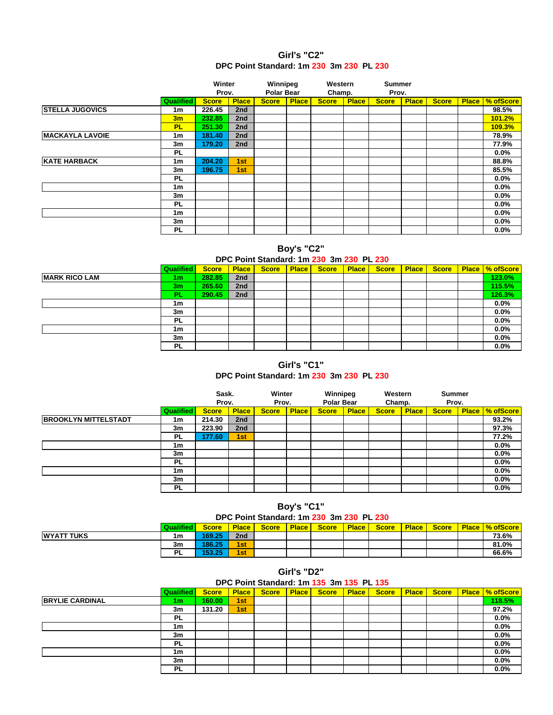### **DPC Point Standard: 1m 230 3m 230 PL 230 Girl's "C2"**

|                        |                  | Winter       |                 | Winnipeg          |              | Western      |              | <b>Summer</b> |              |              |              |                  |
|------------------------|------------------|--------------|-----------------|-------------------|--------------|--------------|--------------|---------------|--------------|--------------|--------------|------------------|
|                        |                  | Prov.        |                 | <b>Polar Bear</b> |              | Champ.       |              | Prov.         |              |              |              |                  |
|                        | <b>Qualified</b> | <b>Score</b> | <b>Place</b>    | <b>Score</b>      | <b>Place</b> | <b>Score</b> | <b>Place</b> | <b>Score</b>  | <b>Place</b> | <b>Score</b> | <b>Place</b> | <b>M</b> ofScore |
| <b>STELLA JUGOVICS</b> | 1m               | 226.45       | 2nd             |                   |              |              |              |               |              |              |              | 98.5%            |
|                        | 3m               | 232.85       | 2nd             |                   |              |              |              |               |              |              |              | 101.2%           |
|                        | <b>PL</b>        | 251.30       | 2 <sub>nd</sub> |                   |              |              |              |               |              |              |              | 109.3%           |
| <b>MACKAYLA LAVOIE</b> | 1 <sub>m</sub>   | 181.40       | 2nd             |                   |              |              |              |               |              |              |              | 78.9%            |
|                        | 3m               | 179.20       | 2nd             |                   |              |              |              |               |              |              |              | 77.9%            |
|                        | PL               |              |                 |                   |              |              |              |               |              |              |              | 0.0%             |
| <b>KATE HARBACK</b>    | 1m               | 204.20       | 1st             |                   |              |              |              |               |              |              |              | 88.8%            |
|                        | 3m               | 196.75       | 1st             |                   |              |              |              |               |              |              |              | 85.5%            |
|                        | PL               |              |                 |                   |              |              |              |               |              |              |              | 0.0%             |
|                        | 1 <sub>m</sub>   |              |                 |                   |              |              |              |               |              |              |              | 0.0%             |
|                        | 3m               |              |                 |                   |              |              |              |               |              |              |              | 0.0%             |
|                        | <b>PL</b>        |              |                 |                   |              |              |              |               |              |              |              | 0.0%             |
|                        | 1 <sub>m</sub>   |              |                 |                   |              |              |              |               |              |              |              | 0.0%             |
|                        | 3m               |              |                 |                   |              |              |              |               |              |              |              | 0.0%             |
|                        | <b>PL</b>        |              |                 |                   |              |              |              |               |              |              |              | 0.0%             |

### **Boy's "C2"**

### **DPC Point Standard: 1m 230 3m 230 PL 230**

|                      | <b>Qualified</b> | <b>Score</b> | <b>Place</b> | <b>Score</b> | <b>Place</b> | <b>Score</b> | <b>Place</b> | <b>Score</b> | <b>Place</b> | <b>Score</b> | <b>Place   % ofScore</b> |
|----------------------|------------------|--------------|--------------|--------------|--------------|--------------|--------------|--------------|--------------|--------------|--------------------------|
| <b>MARK RICO LAM</b> | 1m               | 282.85       | 2nd          |              |              |              |              |              |              |              | 123.0%                   |
|                      | 3 <sub>m</sub>   | 265.60       | 2nd          |              |              |              |              |              |              |              | 115.5%                   |
|                      | <b>PL</b>        | 290.45       | 2nd          |              |              |              |              |              |              |              | 126.3%                   |
|                      | 1m               |              |              |              |              |              |              |              |              |              | 0.0%                     |
|                      | 3m               |              |              |              |              |              |              |              |              |              | $0.0\%$                  |
|                      | PL               |              |              |              |              |              |              |              |              |              | 0.0%                     |
|                      | 1m               |              |              |              |              |              |              |              |              |              | 0.0%                     |
|                      | 3m               |              |              |              |              |              |              |              |              |              | 0.0%                     |
|                      | PL               |              |              |              |              |              |              |              |              |              | 0.0%                     |

## **Girl's "C1"**

### **DPC Point Standard: 1m 230 3m 230 PL 230**

|                             |                  | Sask.<br>Prov. |              | Winter<br>Prov. |              | Winnipeg<br><b>Polar Bear</b> |              | Western<br>Champ. |              | <b>Summer</b><br>Prov. |              |           |
|-----------------------------|------------------|----------------|--------------|-----------------|--------------|-------------------------------|--------------|-------------------|--------------|------------------------|--------------|-----------|
|                             | <b>Qualified</b> | <b>Score</b>   | <b>Place</b> | <b>Score</b>    | <b>Place</b> | <b>Score</b>                  | <b>Place</b> | <b>Score</b>      | <b>Place</b> | <b>Score</b>           | <b>Place</b> | % ofScore |
| <b>BROOKLYN MITTELSTADT</b> | 1m               | 214.30         | 2nd          |                 |              |                               |              |                   |              |                        |              | 93.2%     |
|                             | 3m               | 223.90         | 2nd          |                 |              |                               |              |                   |              |                        |              | 97.3%     |
|                             | <b>PL</b>        | 177.60         | 1st          |                 |              |                               |              |                   |              |                        |              | 77.2%     |
|                             | 1m               |                |              |                 |              |                               |              |                   |              |                        |              | 0.0%      |
|                             | 3m               |                |              |                 |              |                               |              |                   |              |                        |              | 0.0%      |
|                             | <b>PL</b>        |                |              |                 |              |                               |              |                   |              |                        |              | 0.0%      |
|                             | 1m               |                |              |                 |              |                               |              |                   |              |                        |              | 0.0%      |
|                             | 3m               |                |              |                 |              |                               |              |                   |              |                        |              | 0.0%      |
|                             | <b>PL</b>        |                |              |                 |              |                               |              |                   |              |                        |              | 0.0%      |

## **Boy's "C1" DPC Point Standard: 1m 230 3m 230 PL 230**

|                   | <b>Qualified</b><br>. н | <b>Score</b> | <b>Place</b>    | <b>Score</b> | <b>Place</b> | Score | Place | <b>Score</b> | Place | Score | <b>Place</b> | <b>V</b> <sub>ofScore</sub> |
|-------------------|-------------------------|--------------|-----------------|--------------|--------------|-------|-------|--------------|-------|-------|--------------|-----------------------------|
| <b>WYATT TUKS</b> | 1m                      | 169.25       | 2 <sub>nd</sub> |              |              |       |       |              |       |       |              | 73.6%                       |
|                   | 3m                      | 186.25       | 1st             |              |              |       |       |              |       |       |              | 81.0%                       |
|                   | <b>PL</b>               | った<br>1527   | 1st             |              |              |       |       |              |       |       |              | 66.6%                       |

#### **Girl's "D2"**

## **DPC Point Standard: 1m 135 3m 135 PL 135**

|                        | <b>Qualified</b> | <b>Score</b> | <b>Place</b> | <b>Score</b> | <b>Place</b> | <b>Score</b> | <b>Place</b> | <b>Score</b> | <b>Place</b> | <b>Score</b> | Place   % ofScore |
|------------------------|------------------|--------------|--------------|--------------|--------------|--------------|--------------|--------------|--------------|--------------|-------------------|
| <b>BRYLIE CARDINAL</b> | 1m               | 160.00       | 1st          |              |              |              |              |              |              |              | 118.5%            |
|                        | 3m               | 131.20       | 1st          |              |              |              |              |              |              |              | 97.2%             |
|                        | PL.              |              |              |              |              |              |              |              |              |              | 0.0%              |
|                        | 1m               |              |              |              |              |              |              |              |              |              | 0.0%              |
|                        | 3m               |              |              |              |              |              |              |              |              |              | 0.0%              |
|                        | <b>PL</b>        |              |              |              |              |              |              |              |              |              | 0.0%              |
|                        | 1m               |              |              |              |              |              |              |              |              |              | 0.0%              |
|                        | 3m               |              |              |              |              |              |              |              |              |              | 0.0%              |
|                        | <b>PL</b>        |              |              |              |              |              |              |              |              |              | 0.0%              |